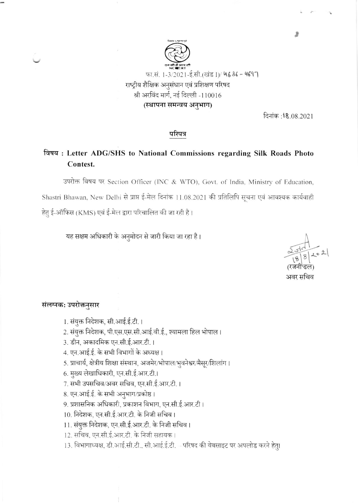

दिनांक:18.08.2021

### परिपत्र

# विषय: Letter ADG/SHS to National Commissions regarding Silk Roads Photo Contest.

उपरोक्त विषय पर Section Officer (INC & WTO), Govt. of India, Ministry of Education, Shastri Bhawan, New Delhi से प्राप्त ई-मेल दिनांक 11.08.2021 की प्रतिलिपि सूचना एवं आवश्यक कार्यवाही हेतु ई-ऑफिस (KMS) एवं ई-मेल द्वारा परिचालित की जा रही है।

यह सक्षम अधिकारी के अनुमोदन से जारी किया जा रहा है।

अवर सचिव

## संलग्नक: उपरोक्तनुसार

1. संयुक्त निदेशक, सी.आई.ई.टी. ।

- 2. संयुक्त निदेशक, पी.एस.एस.सी.आई.वी.ई., श्यामला हिल भोपाल।
- 3. डीन, अकादमिक एन.सी.ई.आर.टी.।
- 4. एन.आई.ई. के सभी विभागों के अध्यक्ष।
- 5. प्राचार्य, क्षेत्रीय शिक्षा संस्थान, अजमेर/भोपाल/भुवनेश्वर/मैसूर/शिलांग।
- 6. मुख्य लेखाधिकारी, एन.सी.ई.आर.टी.।
- 7. सभी उपसचिव/अवर सचिव, एन.सी.ई.आर.टी. ।
- 8. एन.आई.ई. के सभी अनुभाग/प्रकोष्ठ।
- 9. प्रशासनिक अधिकारी, प्रकाशन विभाग, एन.सी.ई.आर.टी।
- 10. निदेशक, एन.सी.ई.आर.टी. के निजी सचिव।
- 11. संयुक्त निदेशक, एन.सी.ई.आर.टी. के निजी सचिव।
- 12. सचिव, एन.सी.ई.आर.टी. के निजी सहायक।
- 13. विभागाध्यक्ष, डी.आई.सी.टी., सी.आई.ई.टी. परिषद की वेबसाइट पर अपलोड करने हेतु।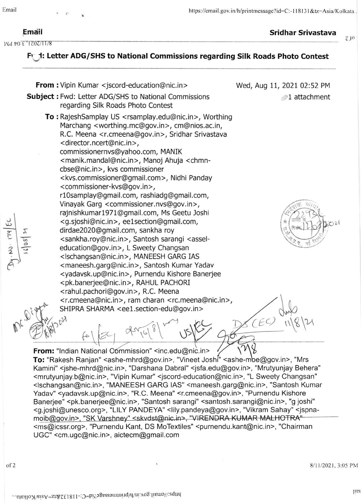$\geq$ r-.<br>2  $\frac{2}{1}$ 

 $\epsilon$ 

of 2

J

Nd t0: ε' 1707/11/8

Em:iil Sridhar Srivastava

 $7<sub>10</sub>$ 

# Ft 1: Letter ADG/SHS to National Commissions regarding Silk Roads Photo Contest

From : Vipin Kumar <jscord-education@nic.in> **Subject:** Fwd: Letter ADG/SHS to National Commissions regarding Silk Roads Photo Contest To : RajeshSamplay US <rsamplay.edu@nic.in>, Worthing Marchang <worthing.mc@gov.in>, cm@nios.ac.in, R.C. Meena <r.cmeena@gov.in>, Sridhar Srivastava <director.ncert@nic.in>, commissionernvs@yahoo.com, MANIK < manik. mandal@nic.in >, Manoj Ahuja <chmncbse@nic.in>, kvs commissioner <kvs.commissioner@gmail.com>, Nidhi Panday <commissioner-kvs@gov. in >, rl0samplay@gmail.com, rashiadg@gmail.com, Vinayak Garg <commissioner. nvs@gov. in >, rajnishkumarl9Tl@gmail.com, Ms Geetu loshi <sup>&</sup>lt;g.sjoshi@nic. in >, ee lsection@gmail.com, dirdae2020@gmail.com, sankha roy <sankha.roy@nic.in>, Santosh sarangi <asseleducation@gov.in>, L Sweety Changsan <lschangsan@nic.in>, MANEESH GARG IAS <maneesh.garg@nic.in>, Santosh Kumar Yadav <yadavsk.up@nic.in>, Purnendu Kishore Banerjee <pk.banerjee@nic.in>, RAHUL PACHORI < rahul.pachori@gov.in>, R.C. Meena <r.cmeena@nic.in>, ram charan <rc.meena@nic.in>, SHIPRA SHARMA <eel.section-edu@gov.in >  $\not\!\!\!D$  ,  $\partial^\lambda$ Wed, Aug 11, 2021 02:52 PM 1 attachment  $-1.7-1.7$  $*$   $\frac{1}{3}$   $\frac{1}{2}$ 4 s  $\downarrow$  $\dot{\zeta}$  $f^{\circ}$  ( $\geq$  )  $\sim$   $\sim$   $\sim$   $\sim$   $\sim$   $\sim$  $CEC$  $\sqrt{2}$ From: "Indian National Commission" <inc.edu@nic.in>  $C_1$   $T'$ 16 डायरी सं. م<br>ا ا  $\mathcal{A}$  $\mathcal{U}$  $\setminus$ 

To: "Rakesh Ranjan" <ashe-mhrd@gov.in>, "Vineet Joshi" <ashe-mbe@gov.in>, "Mrs Kamini" <jshe-mhrd@nic.in>, "Darshana Dabral" <jsfa.edu@gov.in>, "Mrutyunjay Behera" <mrutyunjay.b@nic.in>, "Vipin Kumar" <jscord-education@nic.in>, "L Sweety Changsan" <lschangsan@nic.in>, "MANEESH GARG lAS" <maneesh.garg@nic.in>, "Santosh Kumar Yadav" <yadavsk.up@nic.in>, "R.C. Meena" <r.cmeena@gov.in>, "Purnendu Kishore Banerjee" <pk.banerjee@nic.in>, "Santosh sarangi" <santosh.sarangi@nic.in>, "g joshi" <g.joshi@unesco.org>, "LILY PANDEYA" <lily.pandeya@gov.in>, "Vikram Sahay" <jspnamoib@gov.in>, "SK Varshney" <skvdst@nic.in>, "VIRENDRA KUMAR MALHOTRA" <ms@icssr.org>, "Purnendu Kant, DS MoTextiles" <purnendu.kant@nic.in>, "Chairman UGC" <cm.ugc@nic.in>, aictecm@gmail.com

8/11/2021. 3:05 PM